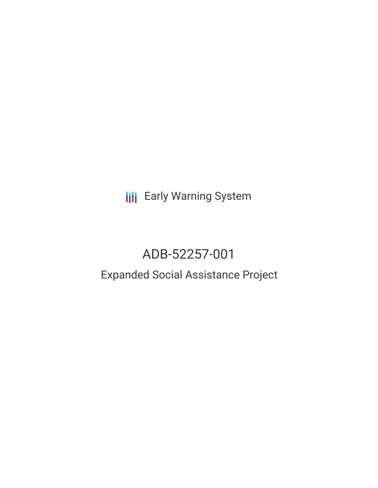**III** Early Warning System

# ADB-52257-001

## Expanded Social Assistance Project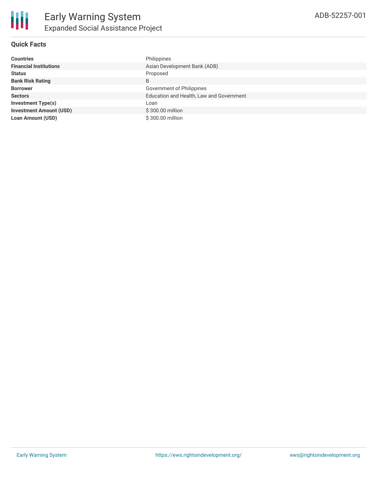### **Quick Facts**

| <b>Countries</b>               | Philippines                              |
|--------------------------------|------------------------------------------|
| <b>Financial Institutions</b>  | Asian Development Bank (ADB)             |
| <b>Status</b>                  | Proposed                                 |
| <b>Bank Risk Rating</b>        | B                                        |
| <b>Borrower</b>                | Government of Philippines                |
| <b>Sectors</b>                 | Education and Health, Law and Government |
| <b>Investment Type(s)</b>      | Loan                                     |
| <b>Investment Amount (USD)</b> | \$300.00 million                         |
| <b>Loan Amount (USD)</b>       | \$300,00 million                         |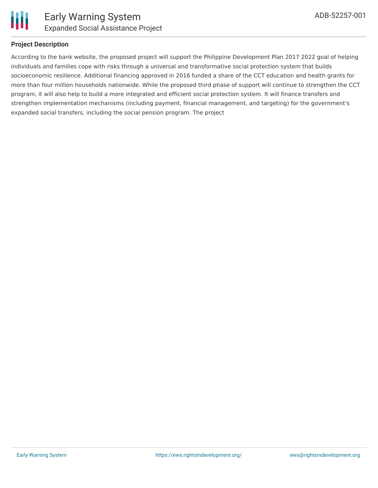

#### **Project Description**

According to the bank website, the proposed project will support the Philippine Development Plan 2017 2022 goal of helping individuals and families cope with risks through a universal and transformative social protection system that builds socioeconomic resilience. Additional financing approved in 2016 funded a share of the CCT education and health grants for more than four million households nationwide. While the proposed third phase of support will continue to strengthen the CCT program, it will also help to build a more integrated and efficient social protection system. It will finance transfers and strengthen implementation mechanisms (including payment, financial management, and targeting) for the government's expanded social transfers, including the social pension program. The project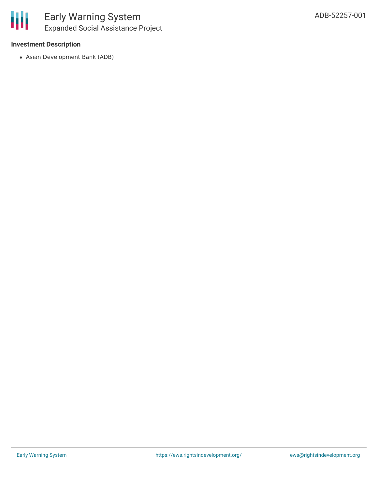#### **Investment Description**

Asian Development Bank (ADB)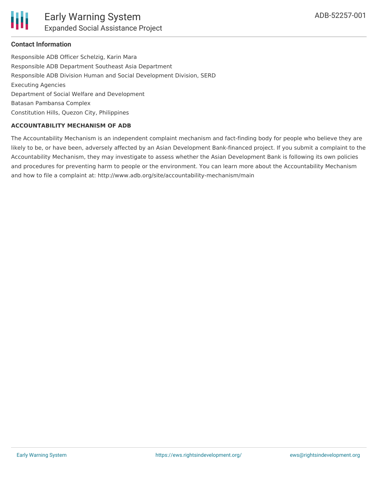

#### **Contact Information**

Responsible ADB Officer Schelzig, Karin Mara Responsible ADB Department Southeast Asia Department Responsible ADB Division Human and Social Development Division, SERD Executing Agencies Department of Social Welfare and Development Batasan Pambansa Complex Constitution Hills, Quezon City, Philippines

#### **ACCOUNTABILITY MECHANISM OF ADB**

The Accountability Mechanism is an independent complaint mechanism and fact-finding body for people who believe they are likely to be, or have been, adversely affected by an Asian Development Bank-financed project. If you submit a complaint to the Accountability Mechanism, they may investigate to assess whether the Asian Development Bank is following its own policies and procedures for preventing harm to people or the environment. You can learn more about the Accountability Mechanism and how to file a complaint at: http://www.adb.org/site/accountability-mechanism/main